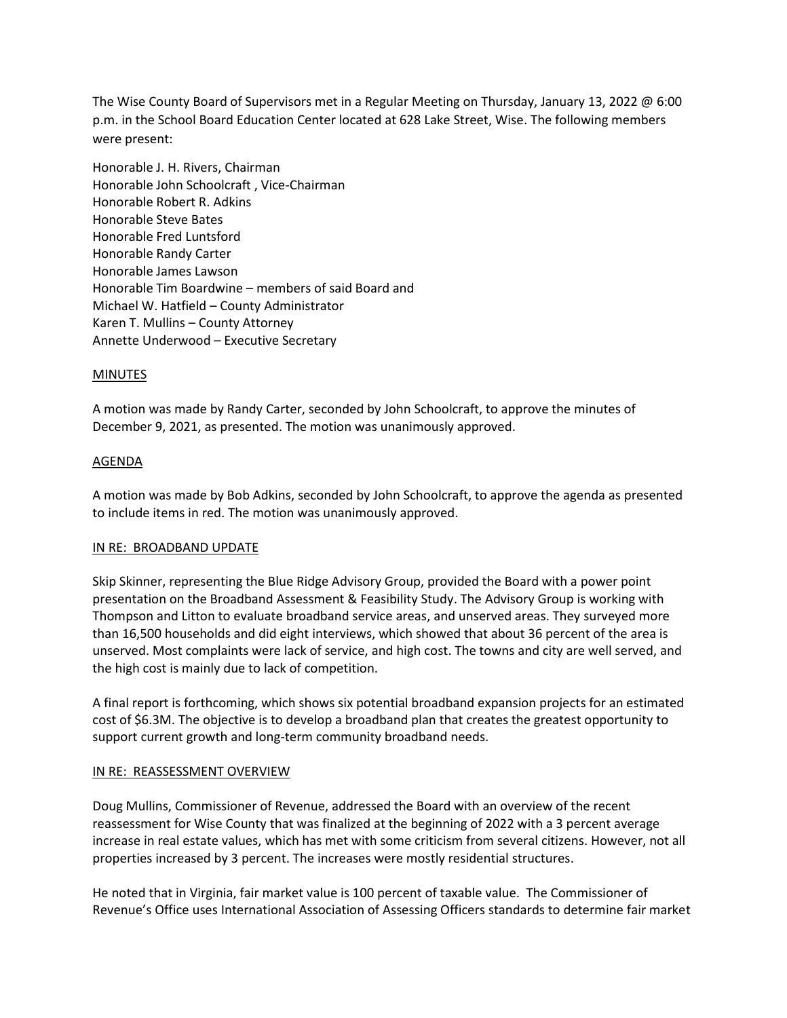The Wise County Board of Supervisors met in a Regular Meeting on Thursday, January 13, 2022 @ 6:00 p.m. in the School Board Education Center located at 628 Lake Street, Wise. The following members were present:

Honorable J. H. Rivers, Chairman Honorable John Schoolcraft , Vice-Chairman Honorable Robert R. Adkins Honorable Steve Bates Honorable Fred Luntsford Honorable Randy Carter Honorable James Lawson Honorable Tim Boardwine – members of said Board and Michael W. Hatfield – County Administrator Karen T. Mullins – County Attorney Annette Underwood – Executive Secretary

# MINUTES

A motion was made by Randy Carter, seconded by John Schoolcraft, to approve the minutes of December 9, 2021, as presented. The motion was unanimously approved.

#### AGENDA

A motion was made by Bob Adkins, seconded by John Schoolcraft, to approve the agenda as presented to include items in red. The motion was unanimously approved.

#### IN RE: BROADBAND UPDATE

Skip Skinner, representing the Blue Ridge Advisory Group, provided the Board with a power point presentation on the Broadband Assessment & Feasibility Study. The Advisory Group is working with Thompson and Litton to evaluate broadband service areas, and unserved areas. They surveyed more than 16,500 households and did eight interviews, which showed that about 36 percent of the area is unserved. Most complaints were lack of service, and high cost. The towns and city are well served, and the high cost is mainly due to lack of competition.

A final report is forthcoming, which shows six potential broadband expansion projects for an estimated cost of \$6.3M. The objective is to develop a broadband plan that creates the greatest opportunity to support current growth and long-term community broadband needs.

#### IN RE: REASSESSMENT OVERVIEW

Doug Mullins, Commissioner of Revenue, addressed the Board with an overview of the recent reassessment for Wise County that was finalized at the beginning of 2022 with a 3 percent average increase in real estate values, which has met with some criticism from several citizens. However, not all properties increased by 3 percent. The increases were mostly residential structures.

He noted that in Virginia, fair market value is 100 percent of taxable value. The Commissioner of Revenue's Office uses International Association of Assessing Officers standards to determine fair market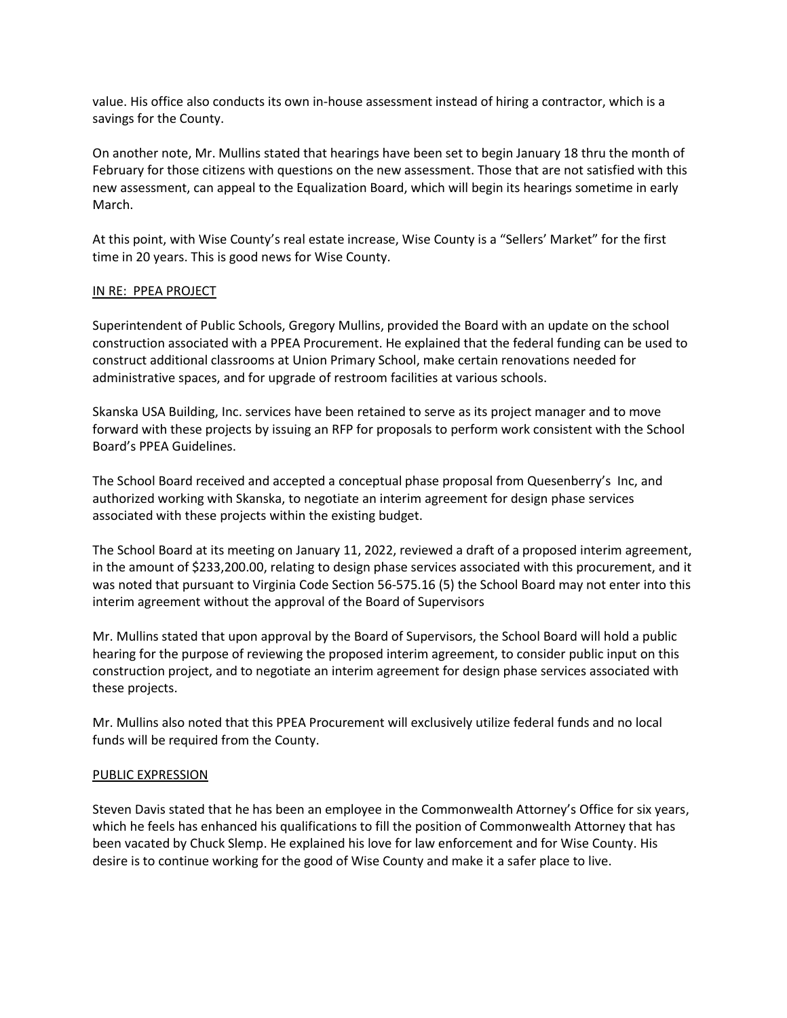value. His office also conducts its own in-house assessment instead of hiring a contractor, which is a savings for the County.

On another note, Mr. Mullins stated that hearings have been set to begin January 18 thru the month of February for those citizens with questions on the new assessment. Those that are not satisfied with this new assessment, can appeal to the Equalization Board, which will begin its hearings sometime in early March.

At this point, with Wise County's real estate increase, Wise County is a "Sellers' Market" for the first time in 20 years. This is good news for Wise County.

# IN RE: PPEA PROJECT

Superintendent of Public Schools, Gregory Mullins, provided the Board with an update on the school construction associated with a PPEA Procurement. He explained that the federal funding can be used to construct additional classrooms at Union Primary School, make certain renovations needed for administrative spaces, and for upgrade of restroom facilities at various schools.

Skanska USA Building, Inc. services have been retained to serve as its project manager and to move forward with these projects by issuing an RFP for proposals to perform work consistent with the School Board's PPEA Guidelines.

The School Board received and accepted a conceptual phase proposal from Quesenberry's Inc, and authorized working with Skanska, to negotiate an interim agreement for design phase services associated with these projects within the existing budget.

The School Board at its meeting on January 11, 2022, reviewed a draft of a proposed interim agreement, in the amount of \$233,200.00, relating to design phase services associated with this procurement, and it was noted that pursuant to Virginia Code Section 56-575.16 (5) the School Board may not enter into this interim agreement without the approval of the Board of Supervisors

Mr. Mullins stated that upon approval by the Board of Supervisors, the School Board will hold a public hearing for the purpose of reviewing the proposed interim agreement, to consider public input on this construction project, and to negotiate an interim agreement for design phase services associated with these projects.

Mr. Mullins also noted that this PPEA Procurement will exclusively utilize federal funds and no local funds will be required from the County.

#### PUBLIC EXPRESSION

Steven Davis stated that he has been an employee in the Commonwealth Attorney's Office for six years, which he feels has enhanced his qualifications to fill the position of Commonwealth Attorney that has been vacated by Chuck Slemp. He explained his love for law enforcement and for Wise County. His desire is to continue working for the good of Wise County and make it a safer place to live.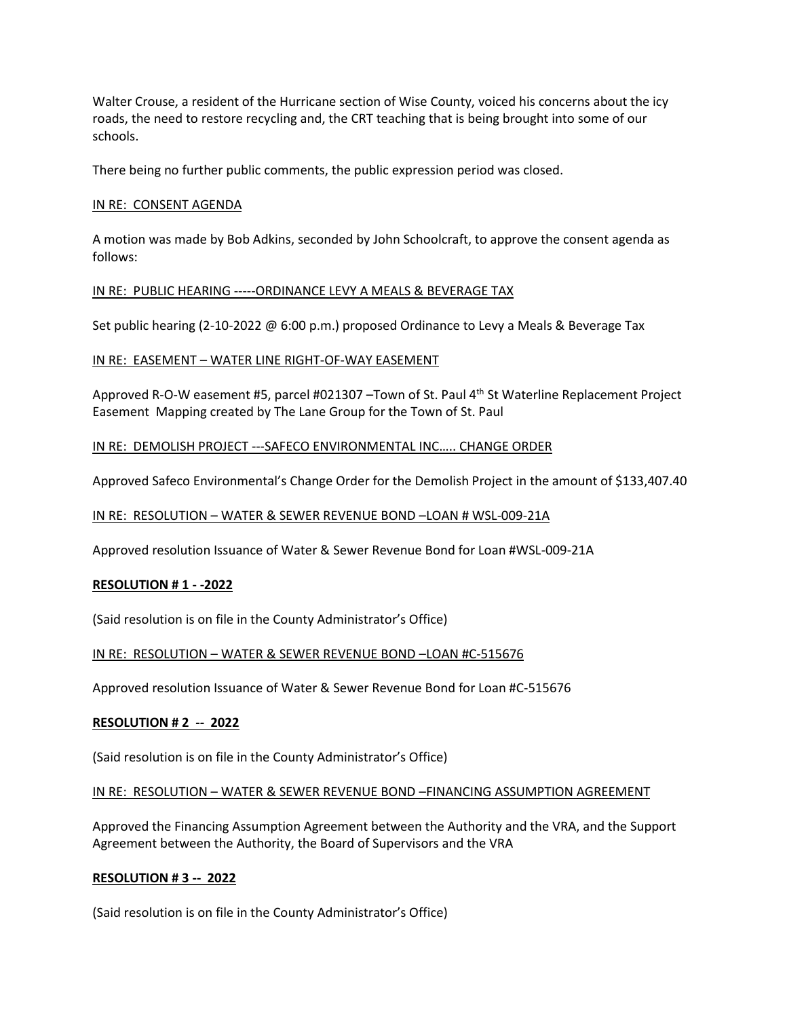Walter Crouse, a resident of the Hurricane section of Wise County, voiced his concerns about the icy roads, the need to restore recycling and, the CRT teaching that is being brought into some of our schools.

There being no further public comments, the public expression period was closed.

# IN RE: CONSENT AGENDA

A motion was made by Bob Adkins, seconded by John Schoolcraft, to approve the consent agenda as follows:

# IN RE: PUBLIC HEARING -----ORDINANCE LEVY A MEALS & BEVERAGE TAX

Set public hearing (2-10-2022 @ 6:00 p.m.) proposed Ordinance to Levy a Meals & Beverage Tax

# IN RE: EASEMENT – WATER LINE RIGHT-OF-WAY EASEMENT

Approved R-O-W easement #5, parcel #021307 –Town of St. Paul 4<sup>th</sup> St Waterline Replacement Project Easement Mapping created by The Lane Group for the Town of St. Paul

# IN RE: DEMOLISH PROJECT ---SAFECO ENVIRONMENTAL INC….. CHANGE ORDER

Approved Safeco Environmental's Change Order for the Demolish Project in the amount of \$133,407.40

### IN RE: RESOLUTION – WATER & SEWER REVENUE BOND –LOAN # WSL-009-21A

Approved resolution Issuance of Water & Sewer Revenue Bond for Loan #WSL-009-21A

#### **RESOLUTION # 1 - -2022**

(Said resolution is on file in the County Administrator's Office)

#### IN RE: RESOLUTION – WATER & SEWER REVENUE BOND –LOAN #C-515676

Approved resolution Issuance of Water & Sewer Revenue Bond for Loan #C-515676

#### **RESOLUTION # 2 -- 2022**

(Said resolution is on file in the County Administrator's Office)

#### IN RE: RESOLUTION – WATER & SEWER REVENUE BOND –FINANCING ASSUMPTION AGREEMENT

Approved the Financing Assumption Agreement between the Authority and the VRA, and the Support Agreement between the Authority, the Board of Supervisors and the VRA

#### **RESOLUTION # 3 -- 2022**

(Said resolution is on file in the County Administrator's Office)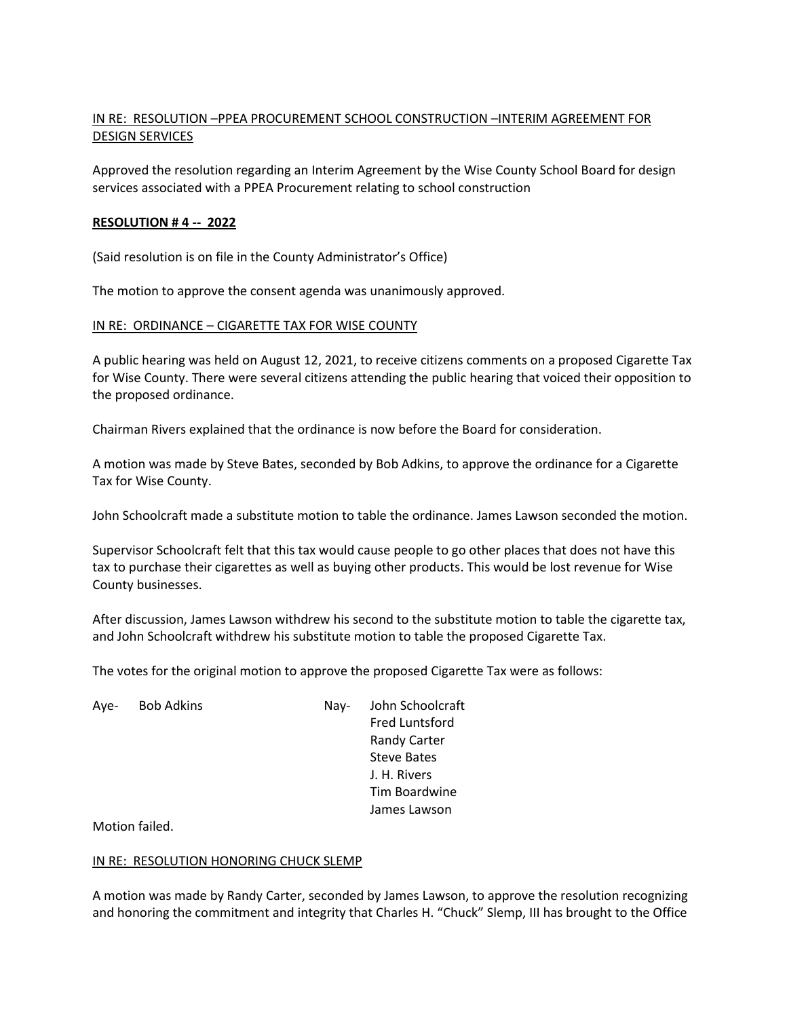# IN RE: RESOLUTION –PPEA PROCUREMENT SCHOOL CONSTRUCTION –INTERIM AGREEMENT FOR DESIGN SERVICES

Approved the resolution regarding an Interim Agreement by the Wise County School Board for design services associated with a PPEA Procurement relating to school construction

# **RESOLUTION # 4 -- 2022**

(Said resolution is on file in the County Administrator's Office)

The motion to approve the consent agenda was unanimously approved.

# IN RE: ORDINANCE – CIGARETTE TAX FOR WISE COUNTY

A public hearing was held on August 12, 2021, to receive citizens comments on a proposed Cigarette Tax for Wise County. There were several citizens attending the public hearing that voiced their opposition to the proposed ordinance.

Chairman Rivers explained that the ordinance is now before the Board for consideration.

A motion was made by Steve Bates, seconded by Bob Adkins, to approve the ordinance for a Cigarette Tax for Wise County.

John Schoolcraft made a substitute motion to table the ordinance. James Lawson seconded the motion.

Supervisor Schoolcraft felt that this tax would cause people to go other places that does not have this tax to purchase their cigarettes as well as buying other products. This would be lost revenue for Wise County businesses.

After discussion, James Lawson withdrew his second to the substitute motion to table the cigarette tax, and John Schoolcraft withdrew his substitute motion to table the proposed Cigarette Tax.

The votes for the original motion to approve the proposed Cigarette Tax were as follows:

| Ave- | <b>Bob Adkins</b> | Nav- | John Schoolcraft      |
|------|-------------------|------|-----------------------|
|      |                   |      | <b>Fred Luntsford</b> |
|      |                   |      | <b>Randy Carter</b>   |
|      |                   |      | <b>Steve Bates</b>    |
|      |                   |      | J. H. Rivers          |
|      |                   |      | Tim Boardwine         |
|      |                   |      | James Lawson          |

Motion failed.

#### IN RE: RESOLUTION HONORING CHUCK SLEMP

A motion was made by Randy Carter, seconded by James Lawson, to approve the resolution recognizing and honoring the commitment and integrity that Charles H. "Chuck" Slemp, III has brought to the Office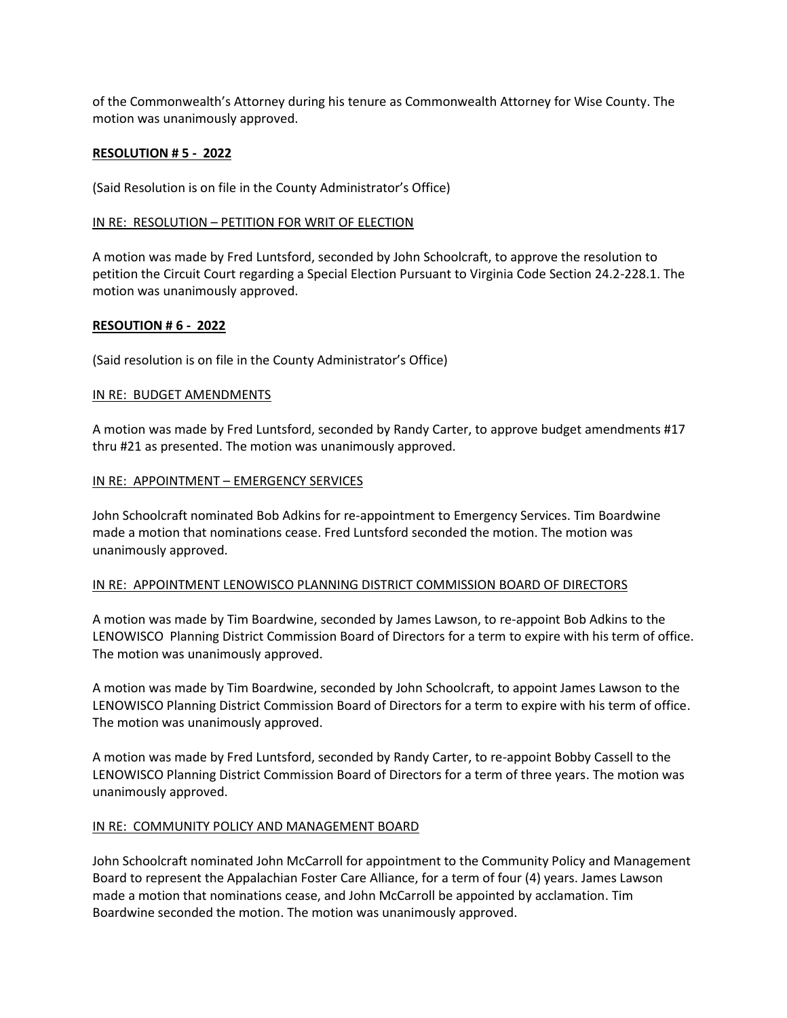of the Commonwealth's Attorney during his tenure as Commonwealth Attorney for Wise County. The motion was unanimously approved.

### **RESOLUTION # 5 - 2022**

(Said Resolution is on file in the County Administrator's Office)

# IN RE: RESOLUTION – PETITION FOR WRIT OF ELECTION

A motion was made by Fred Luntsford, seconded by John Schoolcraft, to approve the resolution to petition the Circuit Court regarding a Special Election Pursuant to Virginia Code Section 24.2-228.1. The motion was unanimously approved.

# **RESOUTION # 6 - 2022**

(Said resolution is on file in the County Administrator's Office)

# IN RE: BUDGET AMENDMENTS

A motion was made by Fred Luntsford, seconded by Randy Carter, to approve budget amendments #17 thru #21 as presented. The motion was unanimously approved.

# IN RE: APPOINTMENT – EMERGENCY SERVICES

John Schoolcraft nominated Bob Adkins for re-appointment to Emergency Services. Tim Boardwine made a motion that nominations cease. Fred Luntsford seconded the motion. The motion was unanimously approved.

#### IN RE: APPOINTMENT LENOWISCO PLANNING DISTRICT COMMISSION BOARD OF DIRECTORS

A motion was made by Tim Boardwine, seconded by James Lawson, to re-appoint Bob Adkins to the LENOWISCO Planning District Commission Board of Directors for a term to expire with his term of office. The motion was unanimously approved.

A motion was made by Tim Boardwine, seconded by John Schoolcraft, to appoint James Lawson to the LENOWISCO Planning District Commission Board of Directors for a term to expire with his term of office. The motion was unanimously approved.

A motion was made by Fred Luntsford, seconded by Randy Carter, to re-appoint Bobby Cassell to the LENOWISCO Planning District Commission Board of Directors for a term of three years. The motion was unanimously approved.

# IN RE: COMMUNITY POLICY AND MANAGEMENT BOARD

John Schoolcraft nominated John McCarroll for appointment to the Community Policy and Management Board to represent the Appalachian Foster Care Alliance, for a term of four (4) years. James Lawson made a motion that nominations cease, and John McCarroll be appointed by acclamation. Tim Boardwine seconded the motion. The motion was unanimously approved.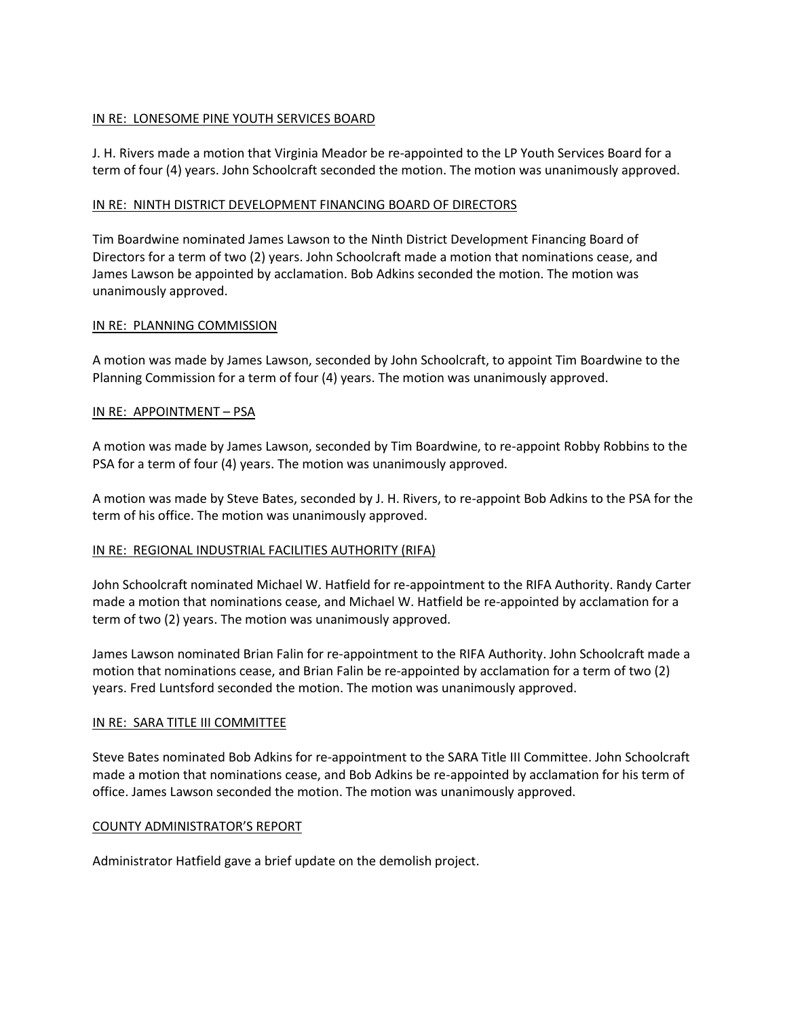# IN RE: LONESOME PINE YOUTH SERVICES BOARD

J. H. Rivers made a motion that Virginia Meador be re-appointed to the LP Youth Services Board for a term of four (4) years. John Schoolcraft seconded the motion. The motion was unanimously approved.

# IN RE: NINTH DISTRICT DEVELOPMENT FINANCING BOARD OF DIRECTORS

Tim Boardwine nominated James Lawson to the Ninth District Development Financing Board of Directors for a term of two (2) years. John Schoolcraft made a motion that nominations cease, and James Lawson be appointed by acclamation. Bob Adkins seconded the motion. The motion was unanimously approved.

#### IN RE: PLANNING COMMISSION

A motion was made by James Lawson, seconded by John Schoolcraft, to appoint Tim Boardwine to the Planning Commission for a term of four (4) years. The motion was unanimously approved.

# IN RE: APPOINTMENT – PSA

A motion was made by James Lawson, seconded by Tim Boardwine, to re-appoint Robby Robbins to the PSA for a term of four (4) years. The motion was unanimously approved.

A motion was made by Steve Bates, seconded by J. H. Rivers, to re-appoint Bob Adkins to the PSA for the term of his office. The motion was unanimously approved.

#### IN RE: REGIONAL INDUSTRIAL FACILITIES AUTHORITY (RIFA)

John Schoolcraft nominated Michael W. Hatfield for re-appointment to the RIFA Authority. Randy Carter made a motion that nominations cease, and Michael W. Hatfield be re-appointed by acclamation for a term of two (2) years. The motion was unanimously approved.

James Lawson nominated Brian Falin for re-appointment to the RIFA Authority. John Schoolcraft made a motion that nominations cease, and Brian Falin be re-appointed by acclamation for a term of two (2) years. Fred Luntsford seconded the motion. The motion was unanimously approved.

#### IN RE: SARA TITLE III COMMITTEE

Steve Bates nominated Bob Adkins for re-appointment to the SARA Title III Committee. John Schoolcraft made a motion that nominations cease, and Bob Adkins be re-appointed by acclamation for his term of office. James Lawson seconded the motion. The motion was unanimously approved.

#### COUNTY ADMINISTRATOR'S REPORT

Administrator Hatfield gave a brief update on the demolish project.